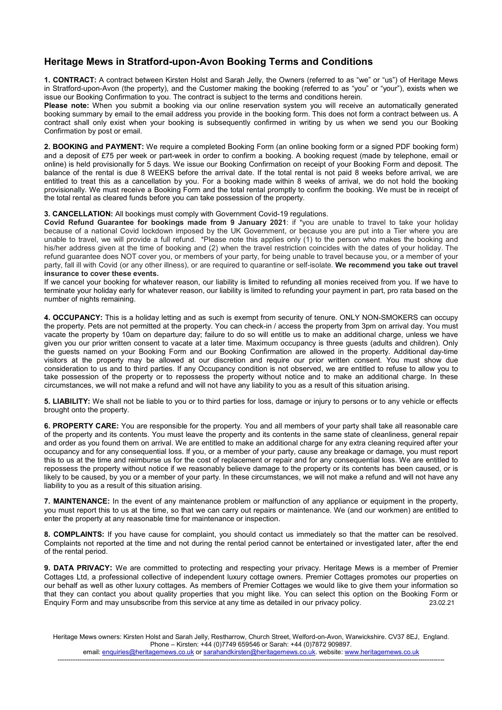## Heritage Mews in Stratford-upon-Avon Booking Terms and Conditions

1. CONTRACT: A contract between Kirsten Holst and Sarah Jelly, the Owners (referred to as "we" or "us") of Heritage Mews in Stratford-upon-Avon (the property), and the Customer making the booking (referred to as "you" or "your"), exists when we issue our Booking Confirmation to you. The contract is subject to the terms and conditions herein.

Please note: When you submit a booking via our online reservation system you will receive an automatically generated booking summary by email to the email address you provide in the booking form. This does not form a contract between us. A contract shall only exist when your booking is subsequently confirmed in writing by us when we send you our Booking Confirmation by post or email.

2. BOOKING and PAYMENT: We require a completed Booking Form (an online booking form or a signed PDF booking form) and a deposit of £75 per week or part-week in order to confirm a booking. A booking request (made by telephone, email or online) is held provisionally for 5 days. We issue our Booking Confirmation on receipt of your Booking Form and deposit. The balance of the rental is due 8 WEEKS before the arrival date. If the total rental is not paid 8 weeks before arrival, we are entitled to treat this as a cancellation by you. For a booking made within 8 weeks of arrival, we do not hold the booking provisionally. We must receive a Booking Form and the total rental promptly to confirm the booking. We must be in receipt of the total rental as cleared funds before you can take possession of the property.

## 3. CANCELLATION: All bookings must comply with Government Covid-19 regulations.

Covid Refund Guarantee for bookings made from 9 January 2021: if \*you are unable to travel to take your holiday because of a national Covid lockdown imposed by the UK Government, or because you are put into a Tier where you are unable to travel, we will provide a full refund. \*Please note this applies only (1) to the person who makes the booking and his/her address given at the time of booking and (2) when the travel restriction coincides with the dates of your holiday. The refund guarantee does NOT cover you, or members of your party, for being unable to travel because you, or a member of your party, fall ill with Covid (or any other illness), or are required to quarantine or self-isolate. We recommend you take out travel insurance to cover these events.

If we cancel your booking for whatever reason, our liability is limited to refunding all monies received from you. If we have to terminate your holiday early for whatever reason, our liability is limited to refunding your payment in part, pro rata based on the number of nights remaining.

4. OCCUPANCY: This is a holiday letting and as such is exempt from security of tenure. ONLY NON-SMOKERS can occupy the property. Pets are not permitted at the property. You can check-in / access the property from 3pm on arrival day. You must vacate the property by 10am on departure day; failure to do so will entitle us to make an additional charge, unless we have given you our prior written consent to vacate at a later time. Maximum occupancy is three guests (adults and children). Only the guests named on your Booking Form and our Booking Confirmation are allowed in the property. Additional day-time visitors at the property may be allowed at our discretion and require our prior written consent. You must show due consideration to us and to third parties. If any Occupancy condition is not observed, we are entitled to refuse to allow you to take possession of the property or to repossess the property without notice and to make an additional charge. In these circumstances, we will not make a refund and will not have any liability to you as a result of this situation arising.

5. LIABILITY: We shall not be liable to you or to third parties for loss, damage or injury to persons or to any vehicle or effects brought onto the property.

6. PROPERTY CARE: You are responsible for the property. You and all members of your party shall take all reasonable care of the property and its contents. You must leave the property and its contents in the same state of cleanliness, general repair and order as you found them on arrival. We are entitled to make an additional charge for any extra cleaning required after your occupancy and for any consequential loss. If you, or a member of your party, cause any breakage or damage, you must report this to us at the time and reimburse us for the cost of replacement or repair and for any consequential loss. We are entitled to repossess the property without notice if we reasonably believe damage to the property or its contents has been caused, or is likely to be caused, by you or a member of your party. In these circumstances, we will not make a refund and will not have any liability to you as a result of this situation arising.

7. MAINTENANCE: In the event of any maintenance problem or malfunction of any appliance or equipment in the property, you must report this to us at the time, so that we can carry out repairs or maintenance. We (and our workmen) are entitled to enter the property at any reasonable time for maintenance or inspection.

8. COMPLAINTS: If you have cause for complaint, you should contact us immediately so that the matter can be resolved. Complaints not reported at the time and not during the rental period cannot be entertained or investigated later, after the end of the rental period.

9. DATA PRIVACY: We are committed to protecting and respecting your privacy. Heritage Mews is a member of Premier Cottages Ltd, a professional collective of independent luxury cottage owners. Premier Cottages promotes our properties on our behalf as well as other luxury cottages. As members of Premier Cottages we would like to give them your information so that they can contact you about quality properties that you might like. You can select this option on the Booking Form or<br>Forguiry Form and may unsubscribe from this service at any time as detailed in our privacy policy [1 Enquiry Form and may unsubscribe from this service at any time as detailed in our privacy policy.

Heritage Mews owners: Kirsten Holst and Sarah Jelly, Restharrow, Church Street, Welford-on-Avon, Warwickshire. CV37 8EJ, England. Phone – Kirsten: +44 (0)7749 659546 or Sarah: +44 (0)7872 909897.

email: enquiries@heritagemews.co.uk or sarahandkirsten@heritagemews.co.uk. website: www.heritagemews.co.uk ---------------------------------------------------------------------------------------------------------------------------------------------------------------------------------